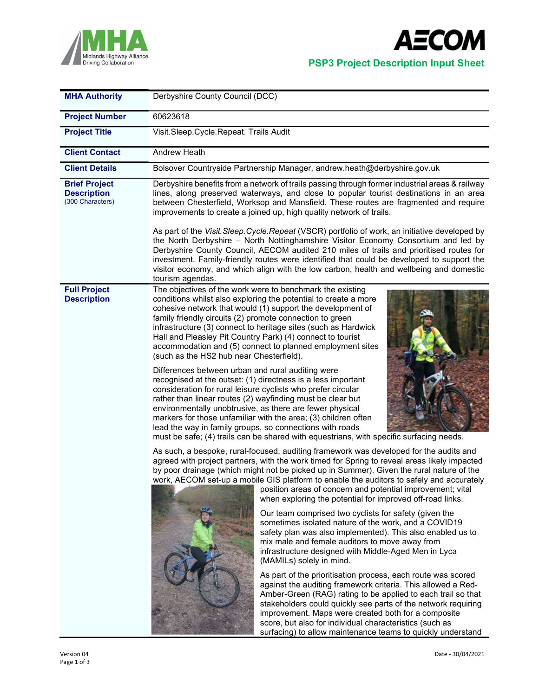



| <b>MHA Authority</b>                                           | Derbyshire County Council (DCC)                                                                                                                                                                                                                                                                                                                                                                                                                                                                                                                                                                                                                                                                                                                                                                                                                                                                                                                                                                                                                                                                                                                                                                                                   |  |  |  |  |
|----------------------------------------------------------------|-----------------------------------------------------------------------------------------------------------------------------------------------------------------------------------------------------------------------------------------------------------------------------------------------------------------------------------------------------------------------------------------------------------------------------------------------------------------------------------------------------------------------------------------------------------------------------------------------------------------------------------------------------------------------------------------------------------------------------------------------------------------------------------------------------------------------------------------------------------------------------------------------------------------------------------------------------------------------------------------------------------------------------------------------------------------------------------------------------------------------------------------------------------------------------------------------------------------------------------|--|--|--|--|
| <b>Project Number</b>                                          | 60623618                                                                                                                                                                                                                                                                                                                                                                                                                                                                                                                                                                                                                                                                                                                                                                                                                                                                                                                                                                                                                                                                                                                                                                                                                          |  |  |  |  |
| <b>Project Title</b>                                           | Visit.Sleep.Cycle.Repeat. Trails Audit                                                                                                                                                                                                                                                                                                                                                                                                                                                                                                                                                                                                                                                                                                                                                                                                                                                                                                                                                                                                                                                                                                                                                                                            |  |  |  |  |
| <b>Client Contact</b>                                          | Andrew Heath                                                                                                                                                                                                                                                                                                                                                                                                                                                                                                                                                                                                                                                                                                                                                                                                                                                                                                                                                                                                                                                                                                                                                                                                                      |  |  |  |  |
| <b>Client Details</b>                                          | Bolsover Countryside Partnership Manager, andrew.heath@derbyshire.gov.uk                                                                                                                                                                                                                                                                                                                                                                                                                                                                                                                                                                                                                                                                                                                                                                                                                                                                                                                                                                                                                                                                                                                                                          |  |  |  |  |
| <b>Brief Project</b><br><b>Description</b><br>(300 Characters) | Derbyshire benefits from a network of trails passing through former industrial areas & railway<br>lines, along preserved waterways, and close to popular tourist destinations in an area<br>between Chesterfield, Worksop and Mansfield. These routes are fragmented and require<br>improvements to create a joined up, high quality network of trails.                                                                                                                                                                                                                                                                                                                                                                                                                                                                                                                                                                                                                                                                                                                                                                                                                                                                           |  |  |  |  |
|                                                                | As part of the Visit. Sleep. Cycle. Repeat (VSCR) portfolio of work, an initiative developed by<br>the North Derbyshire - North Nottinghamshire Visitor Economy Consortium and led by<br>Derbyshire County Council, AECOM audited 210 miles of trails and prioritised routes for<br>investment. Family-friendly routes were identified that could be developed to support the<br>visitor economy, and which align with the low carbon, health and wellbeing and domestic<br>tourism agendas.                                                                                                                                                                                                                                                                                                                                                                                                                                                                                                                                                                                                                                                                                                                                      |  |  |  |  |
| <b>Full Project</b><br><b>Description</b>                      | The objectives of the work were to benchmark the existing<br>conditions whilst also exploring the potential to create a more<br>cohesive network that would (1) support the development of<br>family friendly circuits (2) promote connection to green<br>infrastructure (3) connect to heritage sites (such as Hardwick<br>Hall and Pleasley Pit Country Park) (4) connect to tourist<br>accommodation and (5) connect to planned employment sites<br>(such as the HS2 hub near Chesterfield).<br>Differences between urban and rural auditing were<br>recognised at the outset: (1) directness is a less important<br>consideration for rural leisure cyclists who prefer circular<br>rather than linear routes (2) wayfinding must be clear but<br>environmentally unobtrusive, as there are fewer physical<br>markers for those unfamiliar with the area; (3) children often<br>lead the way in family groups, so connections with roads<br>must be safe; (4) trails can be shared with equestrians, with specific surfacing needs.<br>As such, a bespoke, rural-focused, auditing framework was developed for the audits and<br>agreed with project partners, with the work timed for Spring to reveal areas likely impacted |  |  |  |  |
|                                                                | by poor drainage (which might not be picked up in Summer). Given the rural nature of the<br>work, AECOM set-up a mobile GIS platform to enable the auditors to safely and accurately<br>position areas of concern and potential improvement; vital<br>when exploring the potential for improved off-road links.<br>Our team comprised two cyclists for safety (given the<br>sometimes isolated nature of the work, and a COVID19<br>safety plan was also implemented). This also enabled us to<br>mix male and female auditors to move away from<br>infrastructure designed with Middle-Aged Men in Lyca<br>(MAMILs) solely in mind.<br>As part of the prioritisation process, each route was scored<br>against the auditing framework criteria. This allowed a Red-<br>Amber-Green (RAG) rating to be applied to each trail so that<br>stakeholders could quickly see parts of the network requiring<br>improvement. Maps were created both for a composite<br>score, but also for individual characteristics (such as                                                                                                                                                                                                           |  |  |  |  |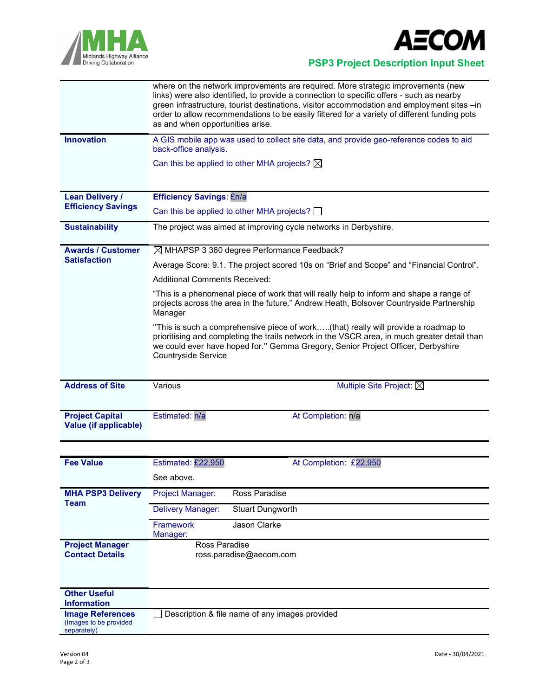



Midlands Highway Alliance<br>
Driving Collaboration<br> **PSP3 Project Description Input Sheet** 

|                                                 | where on the network improvements are required. More strategic improvements (new<br>links) were also identified, to provide a connection to specific offers - such as nearby<br>green infrastructure, tourist destinations, visitor accommodation and employment sites -in<br>order to allow recommendations to be easily filtered for a variety of different funding pots<br>as and when opportunities arise. |  |  |  |  |  |
|-------------------------------------------------|----------------------------------------------------------------------------------------------------------------------------------------------------------------------------------------------------------------------------------------------------------------------------------------------------------------------------------------------------------------------------------------------------------------|--|--|--|--|--|
| <b>Innovation</b>                               | A GIS mobile app was used to collect site data, and provide geo-reference codes to aid<br>back-office analysis.                                                                                                                                                                                                                                                                                                |  |  |  |  |  |
|                                                 | Can this be applied to other MHA projects? $\boxtimes$                                                                                                                                                                                                                                                                                                                                                         |  |  |  |  |  |
| <b>Lean Delivery /</b>                          | <b>Efficiency Savings: £n/a</b>                                                                                                                                                                                                                                                                                                                                                                                |  |  |  |  |  |
| <b>Efficiency Savings</b>                       | Can this be applied to other MHA projects? $\Box$                                                                                                                                                                                                                                                                                                                                                              |  |  |  |  |  |
| <b>Sustainability</b>                           | The project was aimed at improving cycle networks in Derbyshire.                                                                                                                                                                                                                                                                                                                                               |  |  |  |  |  |
| <b>Awards / Customer</b>                        | $\boxtimes$ MHAPSP 3 360 degree Performance Feedback?                                                                                                                                                                                                                                                                                                                                                          |  |  |  |  |  |
| <b>Satisfaction</b>                             | Average Score: 9.1. The project scored 10s on "Brief and Scope" and "Financial Control".                                                                                                                                                                                                                                                                                                                       |  |  |  |  |  |
|                                                 | <b>Additional Comments Received:</b>                                                                                                                                                                                                                                                                                                                                                                           |  |  |  |  |  |
|                                                 | "This is a phenomenal piece of work that will really help to inform and shape a range of<br>projects across the area in the future." Andrew Heath, Bolsover Countryside Partnership<br>Manager                                                                                                                                                                                                                 |  |  |  |  |  |
|                                                 | "This is such a comprehensive piece of work(that) really will provide a roadmap to<br>prioritising and completing the trails network in the VSCR area, in much greater detail than<br>we could ever have hoped for." Gemma Gregory, Senior Project Officer, Derbyshire<br><b>Countryside Service</b>                                                                                                           |  |  |  |  |  |
| <b>Address of Site</b>                          | Multiple Site Project: $\boxtimes$<br>Various                                                                                                                                                                                                                                                                                                                                                                  |  |  |  |  |  |
|                                                 |                                                                                                                                                                                                                                                                                                                                                                                                                |  |  |  |  |  |
| <b>Project Capital</b><br>Value (if applicable) | Estimated: n/a<br>At Completion: n/a                                                                                                                                                                                                                                                                                                                                                                           |  |  |  |  |  |

| <b>Fee Value</b>                                                 | Estimated: £22,950                             | At Completion: £22,950  |  |  |  |
|------------------------------------------------------------------|------------------------------------------------|-------------------------|--|--|--|
|                                                                  | See above.                                     |                         |  |  |  |
| <b>MHA PSP3 Delivery</b><br><b>Team</b>                          | <b>Project Manager:</b>                        | Ross Paradise           |  |  |  |
|                                                                  | Delivery Manager:                              | <b>Stuart Dungworth</b> |  |  |  |
|                                                                  | <b>Framework</b><br>Manager:                   | Jason Clarke            |  |  |  |
| <b>Project Manager</b>                                           | Ross Paradise                                  |                         |  |  |  |
| <b>Contact Details</b>                                           |                                                | ross.paradise@aecom.com |  |  |  |
| <b>Other Useful</b><br><b>Information</b>                        |                                                |                         |  |  |  |
| <b>Image References</b><br>(Images to be provided<br>separately) | Description & file name of any images provided |                         |  |  |  |
|                                                                  |                                                |                         |  |  |  |